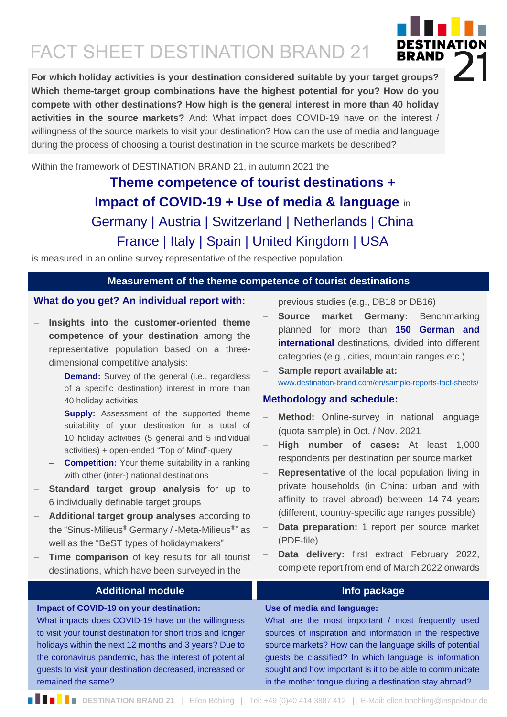# FACT SHEET DESTINATION BRAND 21

**For which holiday activities is your destination considered suitable by your target groups? Which theme-target group combinations have the highest potential for you? How do you compete with other destinations? How high is the general interest in more than 40 holiday activities in the source markets?** And: What impact does COVID-19 have on the interest / willingness of the source markets to visit your destination? How can the use of media and language

during the process of choosing a tourist destination in the source markets be described?

Within the framework of DESTINATION BRAND 21, in autumn 2021 the

# **Theme competence of tourist destinations + Impact of COVID-19 + Use of media & language** in Germany | Austria | Switzerland | Netherlands | China France | Italy | Spain | United Kingdom | USA

is measured in an online survey representative of the respective population.

## **Measurement of the theme competence of tourist destinations**

# **What do you get? An individual report with:**

- − **Insights into the customer-oriented theme competence of your destination** among the representative population based on a threedimensional competitive analysis:
	- **Demand:** Survey of the general (i.e., regardless of a specific destination) interest in more than 40 holiday activities
	- **Supply:** Assessment of the supported theme suitability of your destination for a total of 10 holiday activities (5 general and 5 individual activities) + open-ended "Top of Mind"-query
	- − **Competition:** Your theme suitability in a ranking with other (inter-) national destinations
- **Standard target group analysis** for up to 6 individually definable target groups
- − **Additional target group analyses** according to the "Sinus-Milieus® Germany / -Meta-Milieus®" as well as the "BeST types of holidaymakers"
- Time comparison of key results for all tourist destinations, which have been surveyed in the

What impacts does COVID-19 have on the willingness to visit your tourist destination for short trips and longer holidays within the next 12 months and 3 years? Due to the coronavirus pandemic, has the interest of potential guests to visit your destination decreased, increased or

**Impact of COVID-19 on your destination:**

previous studies (e.g., DB18 or DB16)

- − **Source market Germany:** Benchmarking planned for more than **150 German and international** destinations, divided into different categories (e.g., cities, mountain ranges etc.)
- Sample report available at: [www.destination-brand.com/en/sample-reports-fact-sheets/](http://www.destination-brand.com/en/sample-reports-fact-sheets/)

# **Methodology and schedule:**

- − **Method:** Online-survey in national language (quota sample) in Oct. / Nov. 2021
- − **High number of cases:** At least 1,000 respondents per destination per source market
- **Representative** of the local population living in private households (in China: urban and with affinity to travel abroad) between 14-74 years (different, country-specific age ranges possible)
- Data preparation: 1 report per source market (PDF-file)
- − **Data delivery:** first extract February 2022, complete report from end of March 2022 onwards

# **Additional module Info package**

#### **Use of media and language:**

What are the most important / most frequently used sources of inspiration and information in the respective source markets? How can the language skills of potential guests be classified? In which language is information sought and how important is it to be able to communicate in the mother tongue during a destination stay abroad?



remained the same?